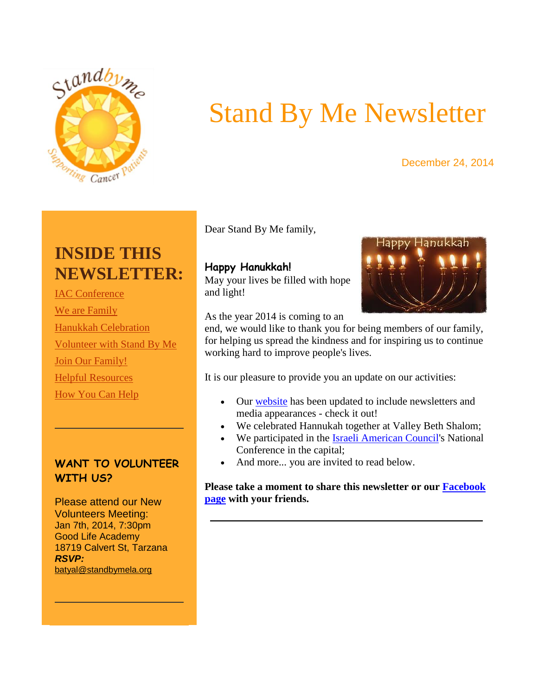<span id="page-0-0"></span>

# Stand By Me Newsletter

#### December 24, 2014

## **INSIDE THIS NEWSLETTER:**

[IAC Conference](#page-0-0) [We are Family](#page-1-0) [Hanukkah Celebration](#page-2-0) [Volunteer with Stand By Me](#page-3-0) [Join Our Family!](#page-3-0) [Helpful Resources](#page-4-0) [How You Can Help](#page-5-0)

#### **WANT TO VOLUNTEER WITH US?**

Please attend our New Volunteers Meeting: Jan 7th, 2014, 7:30pm Good Life Academy 18719 Calvert St, Tarzana *RSVP:*  [batyal@standbymela.org](mailto:batyal@standbymela.org) 

Dear Stand By Me family,

### **Happy Hanukkah!**

May your lives be filled with hope and light!



#### As the year 2014 is coming to an

end, we would like to thank you for being members of our family, for helping us spread the kindness and for inspiring us to continue working hard to improve people's lives.

It is our pleasure to provide you an update on our activities:

- Our [website](http://r20.rs6.net/tn.jsp?f=001SnivJ9DrMAx5ci3jNNEQrr66jrzzIPCvRYrrlqUvJVTvK-FgQsNzqKiCda3ZTriIqy7tr7sfyyAoxQmXB0WmfFtEnSXmQ_SSnwA2mcYiV-Atw4fqPnN4grKegfQMRPKYtJTEveQtXs-DIg-8vUAros9AhuMBxxOP_0GO4lx5gbU=&c=8zuloceAAqv0oH5Nwmr_38dfYce1WnIApo-i22DLSK-92Vb-NuOMPw==&ch=Ht8G7lVsSbBcPGvUkFzFgtcMlSAzG5OiM7kR6Aq2mhtgLmmhhEUerw==) has been updated to include newsletters and media appearances - check it out!
- We celebrated Hannukah together at Valley Beth Shalom;
- We participated in the [Israeli American Council's](http://r20.rs6.net/tn.jsp?f=001SnivJ9DrMAx5ci3jNNEQrr66jrzzIPCvRYrrlqUvJVTvK-FgQsNzqKiCda3ZTriIm10Z1NxppADD-oBnQUCun124wNVfL7ogF95ebOMtCGHr-csxm7SPEEQlhbBE0UOFRKtTPsKBj-3nsRS_FHwnhbrTfdhKoN1WHSa52t28HO8=&c=8zuloceAAqv0oH5Nwmr_38dfYce1WnIApo-i22DLSK-92Vb-NuOMPw==&ch=Ht8G7lVsSbBcPGvUkFzFgtcMlSAzG5OiM7kR6Aq2mhtgLmmhhEUerw==) National Conference in the capital;
- And more... you are invited to read below.

**Please take a moment to share this newsletter or our [Facebook](http://r20.rs6.net/tn.jsp?f=001SnivJ9DrMAx5ci3jNNEQrr66jrzzIPCvRYrrlqUvJVTvK-FgQsNzqCv_IZbocSLEkW_X5dOUrNiB_9EpgSSGXvVrMVHF-U0T3T0NEQKVXZKgpUFvN-sh-CGQoZ1LyHu9O8lI_uRUqLwPMY0zNkoCwts9lZeRtE47uu2Ipfk373ulG5b9ND-hch2QciHazAxH&c=8zuloceAAqv0oH5Nwmr_38dfYce1WnIApo-i22DLSK-92Vb-NuOMPw==&ch=Ht8G7lVsSbBcPGvUkFzFgtcMlSAzG5OiM7kR6Aq2mhtgLmmhhEUerw==)  [page](http://r20.rs6.net/tn.jsp?f=001SnivJ9DrMAx5ci3jNNEQrr66jrzzIPCvRYrrlqUvJVTvK-FgQsNzqCv_IZbocSLEkW_X5dOUrNiB_9EpgSSGXvVrMVHF-U0T3T0NEQKVXZKgpUFvN-sh-CGQoZ1LyHu9O8lI_uRUqLwPMY0zNkoCwts9lZeRtE47uu2Ipfk373ulG5b9ND-hch2QciHazAxH&c=8zuloceAAqv0oH5Nwmr_38dfYce1WnIApo-i22DLSK-92Vb-NuOMPw==&ch=Ht8G7lVsSbBcPGvUkFzFgtcMlSAzG5OiM7kR6Aq2mhtgLmmhhEUerw==) with your friends.**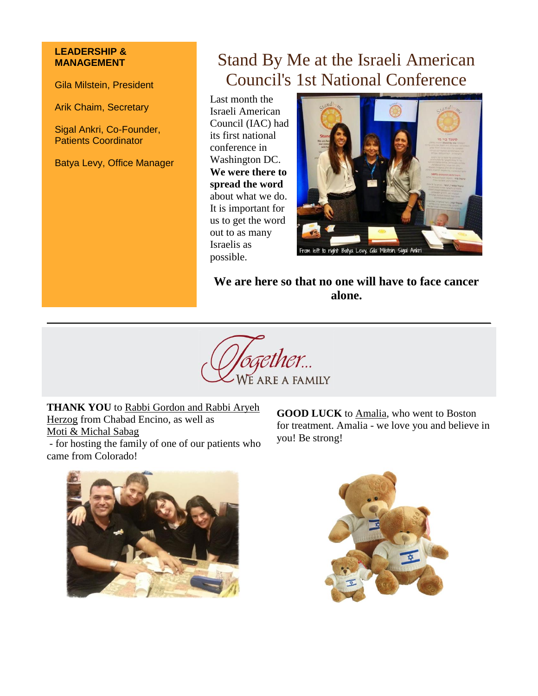#### <span id="page-1-0"></span>**LEADERSHIP & MANAGEMENT**

Gila Milstein, President

Arik Chaim, Secretary

Sigal Ankri, Co-Founder, Patients Coordinator

Batya Levy, Office Manager

### Stand By Me at the Israeli American Council's 1st National Conference

Last month the Israeli American Council (IAC) had its first national conference in Washington DC. **We were there to spread the word** about what we do. It is important for us to get the word out to as many Israelis as possible.



**We are here so that no one will have to face cancer alone.**



**THANK YOU** to Rabbi Gordon and Rabbi Aryeh Herzog from Chabad Encino, as well as Moti & Michal Sabag

- for hosting the family of one of our patients who came from Colorado!

**GOOD LUCK** to Amalia, who went to Boston for treatment. Amalia - we love you and believe in you! Be strong!



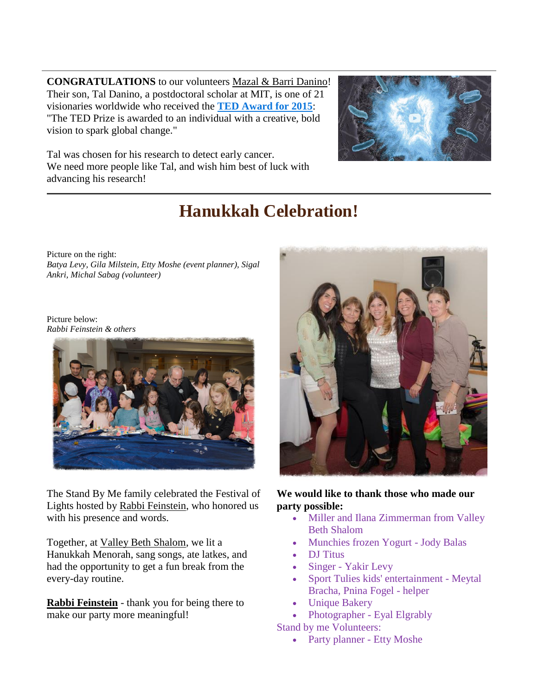<span id="page-2-0"></span>**CONGRATULATIONS** to our volunteers Mazal & Barri Danino! Their son, Tal Danino, a postdoctoral scholar at MIT, is one of 21 visionaries worldwide who received the **[TED Award for 2015](http://r20.rs6.net/tn.jsp?f=001SnivJ9DrMAx5ci3jNNEQrr66jrzzIPCvRYrrlqUvJVTvK-FgQsNzqMcait1s1OJt9B_vcOwSi07_ZES12P7A0Uhu6ZuDlGPHqO2HhW7EmnNzhz8IWa4FMgl7luSR1duLJeZaLgenRZwPo4J95SwlUZSos1QaI3h1Zb6NslKvndhYurLWV94DQGSfZF5AdmvYFyPUHD2ydeNnbJ6M9scmEhU-yZ9X4ytC9mh8aQhdRAPHWimFFWsYMRFT6gszZ8TXdg7KpQhTM3E=&c=8zuloceAAqv0oH5Nwmr_38dfYce1WnIApo-i22DLSK-92Vb-NuOMPw==&ch=Ht8G7lVsSbBcPGvUkFzFgtcMlSAzG5OiM7kR6Aq2mhtgLmmhhEUerw==)**: "The TED Prize is awarded to an individual with a creative, bold vision to spark global change."



Tal was chosen for his research to detect early cancer. We need more people like Tal, and wish him best of luck with advancing his research!

# **Hanukkah Celebration!**

Picture on the right: *Batya Levy, Gila Milstein, Etty Moshe (event planner), Sigal Ankri, Michal Sabag (volunteer)*

Picture below: *Rabbi Feinstein & others*



The Stand By Me family celebrated the Festival of Lights hosted by Rabbi Feinstein, who honored us with his presence and words.

Together, at Valley Beth Shalom, we lit a Hanukkah Menorah, sang songs, ate latkes, and had the opportunity to get a fun break from the every-day routine.

**Rabbi Feinstein** - thank you for being there to make our party more meaningful!



#### **We would like to thank those who made our party possible:**

- Miller and Ilana Zimmerman from Valley Beth Shalom
- Munchies frozen Yogurt Jody Balas
- DJ Titus
- Singer Yakir Levy
- Sport Tulies kids' entertainment Meytal Bracha, Pnina Fogel - helper
- Unique Bakery
- Photographer Eyal Elgrably

Stand by me Volunteers:

• Party planner - Etty Moshe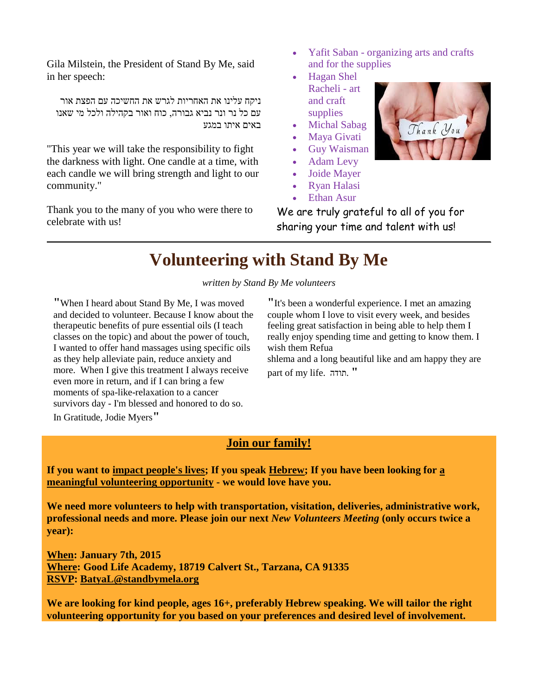<span id="page-3-0"></span>Gila Milstein, the President of Stand By Me, said in her speech:

ניקח עלינו את האחריות לגרש את החשיכה עם הפצת אור עם כל נר ונר נביא גבורה, כוח ואור בקהילה ולכל מי שאנו באים איתו במגע

"This year we will take the responsibility to fight the darkness with light. One candle at a time, with each candle we will bring strength and light to our community."

Thank you to the many of you who were there to celebrate with us!

- Yafit Saban organizing arts and crafts and for the supplies
- Hagan Shel Racheli - art and craft supplies
- Michal Sabag
- Maya Givati
- Guy Waisman
- Adam Levy
- Joide Mayer
- Ryan Halasi
- Ethan Asur

We are truly grateful to all of you for sharing your time and talent with us!

## **Volunteering with Stand By Me**

*written by Stand By Me volunteers*

**"**When I heard about Stand By Me, I was moved and decided to volunteer. Because I know about the therapeutic benefits of pure essential oils (I teach classes on the topic) and about the power of touch, I wanted to offer hand massages using specific oils as they help alleviate pain, reduce anxiety and more. When I give this treatment I always receive even more in return, and if I can bring a few moments of spa-like-relaxation to a cancer survivors day - I'm blessed and honored to do so. In Gratitude, Jodie Myers**"**

**"**It's been a wonderful experience. I met an amazing couple whom I love to visit every week, and besides feeling great satisfaction in being able to help them I really enjoy spending time and getting to know them. I wish them Refua

shlema and a long beautiful like and am happy they are part of my life. תודה.**"**

#### **Join our family!**

**If you want to impact people's lives; If you speak Hebrew; If you have been looking for a meaningful volunteering opportunity - we would love have you.**

**We need more volunteers to help with transportation, visitation, deliveries, administrative work, professional needs and more. Please join our next** *New Volunteers Meeting* **(only occurs twice a year):**

**When: January 7th, 2015 Where: Good Life Academy, 18719 Calvert St., Tarzana, CA 91335 RSVP: [BatyaL@standbymela.org](mailto:BatyaL@standbymela.org)**

**We are looking for kind people, ages 16+, preferably Hebrew speaking. We will tailor the right volunteering opportunity for you based on your preferences and desired level of involvement.**

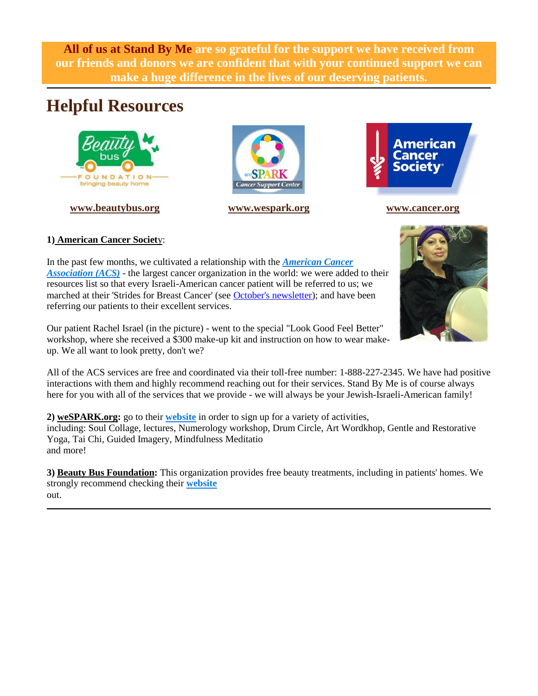<span id="page-4-0"></span>**All of us at Stand By Me are so grateful for the support we have received from our friends and donors we are confident that with your continued support we can make a huge difference in the lives of our deserving patients.**

### **Helpful Resources**



**[www.beautybus.org](http://r20.rs6.net/tn.jsp?f=001SnivJ9DrMAx5ci3jNNEQrr66jrzzIPCvRYrrlqUvJVTvK-FgQsNzqMcait1s1OJtXddJXfPaxu_mVD6JRq_KO9_zEV9l5lm8WQA0c3LhhoEjE4-99VYhLjhHGfN9yEmg6m8hAMYHBQLHbS7s0bAonodL_i8qcaUwGGCzoV1UJE4=&c=8zuloceAAqv0oH5Nwmr_38dfYce1WnIApo-i22DLSK-92Vb-NuOMPw==&ch=Ht8G7lVsSbBcPGvUkFzFgtcMlSAzG5OiM7kR6Aq2mhtgLmmhhEUerw==) [www.wespark.org](http://r20.rs6.net/tn.jsp?f=001SnivJ9DrMAx5ci3jNNEQrr66jrzzIPCvRYrrlqUvJVTvK-FgQsNzqMcait1s1OJtH2hwHNRsbC9WbPHZ0M3a5qJ7bmyrx7mTzDdnpplREMJGcqYiTV-GQtRVLzZatwhlpYrBSBMT_XRnsebKgBp5phFTuHptlTHuNvl6SxoK6LM=&c=8zuloceAAqv0oH5Nwmr_38dfYce1WnIApo-i22DLSK-92Vb-NuOMPw==&ch=Ht8G7lVsSbBcPGvUkFzFgtcMlSAzG5OiM7kR6Aq2mhtgLmmhhEUerw==) [www.cancer.org](http://r20.rs6.net/tn.jsp?f=001SnivJ9DrMAx5ci3jNNEQrr66jrzzIPCvRYrrlqUvJVTvK-FgQsNzqMcait1s1OJt_JPnsp_xZEc9owWVpuAQjlIQHwvQFt-YHZX38jiiJY1bD9nNjNtlzK1SvimPb1kRHexc4TkqFPG0oMdNnmQqSeon_2wdp20ic3ZJ2w5SkTE=&c=8zuloceAAqv0oH5Nwmr_38dfYce1WnIApo-i22DLSK-92Vb-NuOMPw==&ch=Ht8G7lVsSbBcPGvUkFzFgtcMlSAzG5OiM7kR6Aq2mhtgLmmhhEUerw==)**





#### **1) American Cancer Societ**y:

In the past few months, we cultivated a relationship with the *[American Cancer](http://r20.rs6.net/tn.jsp?f=001SnivJ9DrMAx5ci3jNNEQrr66jrzzIPCvRYrrlqUvJVTvK-FgQsNzqKiCda3ZTriInsyE0C_zZT7BDKFskxYDi_eZZSzjptM9xpHpr9d5vx9AB8rcR2rDYq6YYIfA8bVO0kb7HS3WOFTOz3mt4r6sI8YdRs6_4x6wyhYosHnAs7U=&c=8zuloceAAqv0oH5Nwmr_38dfYce1WnIApo-i22DLSK-92Vb-NuOMPw==&ch=Ht8G7lVsSbBcPGvUkFzFgtcMlSAzG5OiM7kR6Aq2mhtgLmmhhEUerw==)  [Association \(ACS\)](http://r20.rs6.net/tn.jsp?f=001SnivJ9DrMAx5ci3jNNEQrr66jrzzIPCvRYrrlqUvJVTvK-FgQsNzqKiCda3ZTriInsyE0C_zZT7BDKFskxYDi_eZZSzjptM9xpHpr9d5vx9AB8rcR2rDYq6YYIfA8bVO0kb7HS3WOFTOz3mt4r6sI8YdRs6_4x6wyhYosHnAs7U=&c=8zuloceAAqv0oH5Nwmr_38dfYce1WnIApo-i22DLSK-92Vb-NuOMPw==&ch=Ht8G7lVsSbBcPGvUkFzFgtcMlSAzG5OiM7kR6Aq2mhtgLmmhhEUerw==)* - the largest cancer organization in the world: we were added to their resources list so that every Israeli-American cancer patient will be referred to us; we marched at their 'Strides for Breast Cancer' (see [October's newsletter\)](http://r20.rs6.net/tn.jsp?f=001SnivJ9DrMAx5ci3jNNEQrr66jrzzIPCvRYrrlqUvJVTvK-FgQsNzqMcait1s1OJtfe8Tlsv4WnbNIZfeVl4NrtfGd_Nf_GcNwboj1twOSe6yAQH3MEIdnKFOQfpjwdEcjtSlex1h49nbFmI7jjcKAMaQfSmc52cN7HzWoo9AZDaf6u-bc2Wn4ZhcRy-0P1i6p7JRrC0hq8Bo2OfEu3yPS7l7AZDhQDE_w88ZwpcQzBb8rLlxKRaE7A==&c=8zuloceAAqv0oH5Nwmr_38dfYce1WnIApo-i22DLSK-92Vb-NuOMPw==&ch=Ht8G7lVsSbBcPGvUkFzFgtcMlSAzG5OiM7kR6Aq2mhtgLmmhhEUerw==); and have been referring our patients to their excellent services.

Our patient Rachel Israel (in the picture) - went to the special "Look Good Feel Better" workshop, where she received a \$300 make-up kit and instruction on how to wear makeup. We all want to look pretty, don't we?

All of the ACS services are free and coordinated via their toll-free number: 1-888-227-2345. We have had positive interactions with them and highly recommend reaching out for their services. Stand By Me is of course always here for you with all of the services that we provide - we will always be your Jewish-Israeli-American family!

**2) weSPARK.org:** go to their **[website](http://r20.rs6.net/tn.jsp?f=001SnivJ9DrMAx5ci3jNNEQrr66jrzzIPCvRYrrlqUvJVTvK-FgQsNzqMcait1s1OJtdGugoU1yITkVtG5u-cHvPWmLgn9x4UtDdSBvjxzZ1Oc_1LsyFCQQb1O4rGE46PiLvHsna0uZ1_AfmirxDJ-PqCX0N1uZ7WhUsqzFc5dYm3bLSS8Hji_pZw==&c=8zuloceAAqv0oH5Nwmr_38dfYce1WnIApo-i22DLSK-92Vb-NuOMPw==&ch=Ht8G7lVsSbBcPGvUkFzFgtcMlSAzG5OiM7kR6Aq2mhtgLmmhhEUerw==)** in order to sign up for a variety of activities, including: Soul Collage, lectures, Numerology workshop, Drum Circle, Art Wordkhop, Gentle and Restorative Yoga, Tai Chi, Guided Imagery, Mindfulness Meditatio and more!

**3) Beauty Bus Foundation:** This organization provides free beauty treatments, including in patients' homes. We strongly recommend checking their **[website](http://r20.rs6.net/tn.jsp?f=001SnivJ9DrMAx5ci3jNNEQrr66jrzzIPCvRYrrlqUvJVTvK-FgQsNzqMcait1s1OJt5E6OeoG_FxQj4a8pZ89tTym7CypVdhMd0Huq1lKZICBaS6YnR5_IgsPRuY5mlb3CvbV4ossxnpoh6ePJwPWpzDePzn71rqnF3oCKawswcYw=&c=8zuloceAAqv0oH5Nwmr_38dfYce1WnIApo-i22DLSK-92Vb-NuOMPw==&ch=Ht8G7lVsSbBcPGvUkFzFgtcMlSAzG5OiM7kR6Aq2mhtgLmmhhEUerw==)** out.